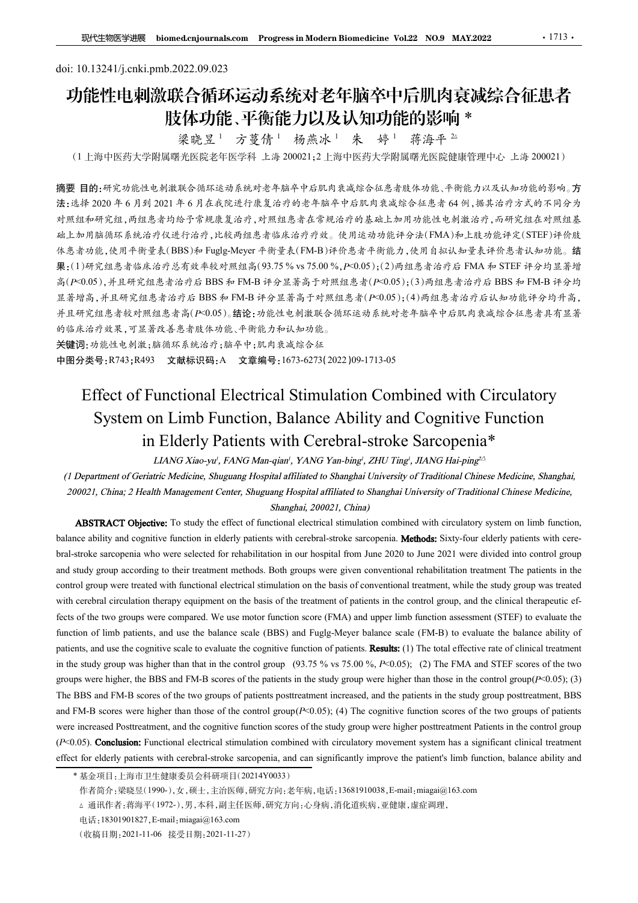# doi: 10.13241/j.cnki.pmb.2022.09.023 功能性电刺激联合循环运动系统对老年脑卒中后肌肉衰减综合征患者 肢体功能、平衡能力以及认知功能的影响 \*<br>《 梁晓昱<sup>1</sup>》方蔓倩<sup>1</sup> 杨燕冰<sup>1</sup> 朱 婷<sup>1</sup> 蒋海平 <del>2</del>

梁晓昱 <sup>1</sup> 方蔓倩 <sup>1</sup> 杨燕冰 <sup>1</sup> 蒋海平 <sup>2</sup>△

(1 上海中医药大学附属曙光医院老年医学科 上海 200021;2 上海中医药大学附属曙光医院健康管理中心 上海 200021)

摘要 目的:研究功能性电刺激联合循环运动系统对老年脑卒中后肌肉衰减综合征患者肢体功能、平衡能力以及认知功能的影响。方 法:选择 2020 年 6 月到 2021 年 6 月在我院进行康复治疗的老年脑卒中后肌肉衰减综合征患者 64 例,据其治疗方式的不同分为 对照组和研究组,两组患者均给予常规康复治疗,对照组患者在常规治疗的基础上加用功能性电刺激治疗,而研究组在对照组基 础上加用脑循环系统治疗仪进行治疗,比较两组患者临床治疗疗效。使用运动功能评分法(FMA)和上肢功能评定(STEF)评价肢 体患者功能,使用平衡量表(BBS)和 Fuglg-Meyer 平衡量表(FM-B)评价患者平衡能力,使用自拟认知量表评价患者认知功能。结 果:(1)研究组患者临床治疗总有效率较对照组高(93.75 % vs 75.00 %,P<0.05);(2)两组患者治疗后 FMA <sup>和</sup> STEF 评分均显著增 高(P<0.05),并且研究组患者治疗后 BBS 和 FM-B 评分显著高于对照组患者(P<0.05);(3)两组患者治疗后 BBS 和 FM-B 评分均 显著增高,并且研究组患者治疗后 BBS 和 FM-B 评分显著高于对照组患者(P<0.05);(4)两组患者治疗后认知功能评分均升高, 并且研究组患者较对照组患者高(P<0.05)。结论:功能性电刺激联合循环运动系统对老年脑卒中后肌肉衰减综合征患者具有显著 的临床治疗效果,可显著改善患者肢体功能、平衡能力和认知功能。 **IDETOR (\*\*\*)期刊 - Functional Electrical Stimulation Combined with Circulatory<br>
1.海中医航大学照顾曙光医路上中 方菱角<sup>1</sup> 有着冰冰! 朱 赫子 - 赫· 赫· 华丽海平乐部 海里中小 上海 200021)<br>自由-研究航社电利策联合衛军連系統对各有部中平成的東域综合征基准体功能、平衡能力以及认知功能的标。<br>
#2001年6月在機関連邦系統、海道部各省事務局** 海中医術大学開催、不明。<br>
- 木崎工業、アプリ・キングの<br>
- 木崎工業、プリを情報が発売された。<br>
- 木崎工業の開催を保証を含まれます。<br>
4.研究が提供を開放を含まれる音系統考索を持ち、学園所、交換を使用を設定値間下の、人気大知分流的等時、<br>
2020年6月到2021年6月を表皮速行業支持が多年融合中点肌角表端会社基地体功能、平衡能力以及认知分能的等時、方<br>
知識、再組意告功能下容規度及治疗、非難組患者な解決治的を実施される場 in to solution of Altimation After the Result of Subsetime Medicine, Shares with Cerebral-stroke Sarcopenia\*<br>
Ledin Mater Cerebral-stroke Sarce Sarce Sarce Sarce Sarce Sarce Sarce Sarce Sarce Sarce Sarce Sarce Sarce Sarc BBS)をFuggle:Meyer 半衛量表(FM-B)沖部公長半半能力,使用自組认知量表并低差功能、精<br><br>基有效率效対照組合(93.75% vs 75.00%, P-30.85; jc2, pm组成主者治疗后 FMA か STEF 神分的<br>法官工事分析 BBS 和 FM-B 沖分 基高子对照组基术(P-0.05);(3)两组基者冷疗后 FMA か STEF 神分均<br>基常公 FMG BBS 和 FM-B 沖分 基高子对照组基术(P-0.

关键词:功能性电刺激;脑循环系统治疗;脑卒中;肌肉衰减综合征 中图分类号:R743;R493 文献标识码:A 文章编号:1673-6273(2022)09-1713-05

**無 (11時完結患者協応治疗患者液体検討無結合の37,5 % w 75,00 %, P=0.05); (21時患患者治疗法) FMA 参 STEF 年参与基層<br>
商 (P=0.05); 并且研究起患者治疗后 BBS 年 FM-B 升 全显著音子刺激起意者 (P=0.05); (31時患者治疗法 FMA 参 STEF 非参与基層<br>基層所, 非互环定能患者治疗后 BBS 年 FM-B 升 多足者高下刺激起意 (P=0.05); (31時患** ま存当。半山所完結急者冷存所 DBS 和 TM-B 沖多ま著高子が照相点場所にP60.05):(4)所在急者冷存が存在地域に最大公<br><br>特に将定組高者政年機は最大各所に90.95, 錯除: 3倍地を分離基金分離な物も非体序中応用を減給令に過去者不満手<br><br>特許な方法を有効には、するため、血管が、血管があるため、<br>
<br>**実際可 3 がはも可 ま、可 5 が 10000 PM DES Study according The Patitiona** control group were treated with functional electrical stimulation on the basis of conventional treatment, while the study group was treated with cerebral circulation therapy equipment on the basis of the treatment of patients in the control group, and the clinical therapeutic ef-**美雄部: 0.9 the two groups were compared.** This  $\theta$  is the two groups of the two groups were the two groups were the two groups were the two groups were higher the two groups were higher the two groups were higher the two #BB分 英号: R744; R493 **文献标识码: A** 文章編号: 1673-6273 (2022) 003-1713-05<br>
Effect of Functional Electrical Stimulation Combined with Circulatory<br>
System on Limb Function, Balance Ability and Cognitive Function<br>
in Elderly Patie Effect of Functional Electrical Stimulation Combined with Circulatory<br>
System on Limb Function, Balance Ability and Cognitive Function<br>
in Elderly Patients with Cercbral-stroke Sarcopopina\*<br>
(1) Deparment of Geraine Media Effect of Functional Electrical Stimulation Combined with Circulatory<br>
System on Limb Function, Balance Ability and Cognitive Function<br>
in Elderly Patients with Cerebral-stroke Sarcopenia\*<br>
(*I Department of Grosine Medic* **Example 10.** System on Limb Function, Balance Ability and Cognitive Function<br>
in Elderly Patients with Cerebral-stroke Sarcopenia<sup>\*</sup><br>
(*I Department of Geriurics Medicine, Shaguang Hospital affiliated to Shaghat Universi* System on Limita Function, Balance Ability and Cognitive Function<br>
in Elderly Patients with Cerebral-stroke Sarcoopenia\*<br>
(Department of Geraine Medioin, Shape of M-B scores (FMC Mare apic 2011 Trag. An No factor Haip and **in Elderly Patients with Cerebral-stroke Sarcopenia\***<br>
(*I Department of Geristric Memoigries Shanghai, TANG Yan-bing? ZHU Ting?, JIANG Hai-ping^<br>
(<i>I Department of Geristric Medicine, Shanghai Memoigries of the control* LIANG Xiao-yri, FANG Mar-qairi, YANG Yan-bing', YHU Ting', JIANG Hai-ping<sup>22</sup><br>
(1 Department of Geriatric Medicine, Shagmang Hospital affiliated to Shanghai University of Traditional Chinese Medicine, Shanghai.<br>
200021, C (*F* Department of Geriatric Medicine, Shaguang Hospital affiliated to Shanghai University of Traditional Chinese Medicine, Shaguang Longital stimulation combined with circulatory of Traditional Chinese Medicine, 20021. C 200221, China; 2 Health Management Center, Shugaang Hospital affiliated to Shanghat University of Traditional Chinese Medicine,<br>
ABSTRACT Objective: To study the effect of since is four-galarities and electronic simulatio

<sup>\*</sup> 基金项目:上海市卫生健康委员会科研项目(20214Y0033)

作者简介:梁晓昱(1990-),女,硕士,主治医师,研究方向:老年病,电话:13681910038,E-mail:miagai@163.com

<sup>△</sup> 通讯作者:蒋海平(1972-),男,本科,副主任医师,研究方向:心身病,消化道疾病,亚健康,虚症调理,

电话:18301901827,E-mail:miagai@163.com

<sup>(</sup>收稿日期:2021-11-06 接受日期:2021-11-27)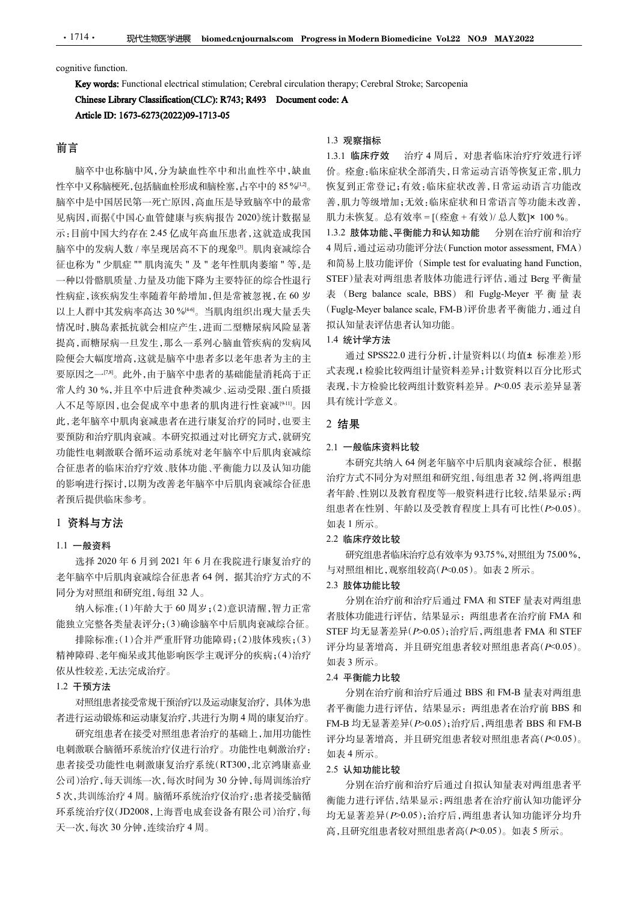• 1714 • 现代生物医学进展 biomed.cnjournals.com Progress in Modern Biomedicine Vo<br>cognitive function.<br>Key words: Functional electrical stimulation; Cerebral circulation therapy; Cerebral Stroke; Sarce<br>Chinese Library Classificati 现代生物医学进展 biomed.cnjournals.com Progress in Modern Biomedicine Vol.22 NO.9 MAY.2022<br>n.<br>Functional electrical stimulation; Cerebral circulation therapy; Cerebral Stroke; Sarcopenia<br>**rary Classification(CLC): R743; R493 Docu** 

# 前言

脑卒中也称脑中风,分为缺血性卒中和出血性卒中,缺血 脑卒中是中国居民第一死亡原因,高血压是导致脑卒中的最常 见病因,而据《中国心血管健康与疾病报告 2020》统计数据显 机力未恢复。总有效率 = [(痊愈 + 有效)/ 总人数]× 100 %。 示:目前中国大约存在 2.45 亿成年高血压患者,这就造成我国 1.3.2 肢体功能、平衡能力和认知功能 脑卒中的发病人数 / 率呈现居高不下的现象<sup>[3]</sup>。肌肉衰减综合 4周后,通过运动功能评分法(Function motor assessment, FMA) 征也称为 " 少肌症 "" 肌肉流失 " 及 " 老年性肌肉萎缩 " 等,是 一种以骨骼肌质量、力量及功能下降为主要特征的综合性退行 性病症,该疾病发生率随着年龄增加,但是常被忽视,在 60 岁 表 (Berg balance scale, BBS) 和 Fuglg-Meyer 平 衡 量 表 114 · 一觀快性物源等過<sup>。</sup><br> **Key words:** Functional electrical stimulation; Cerebral circulation therapy; Cerebral Stroke; Sarcopenia<br> **Key words:** Functional electrical stimulation; Cerebral circulation therapy; Cerebral Stroke; 情况时,胰岛素抵抗就会相应产生,进而二型糖尿病风险显著 提高,而糖尿病一旦发生,那么一系列心脑血管疾病的发病风 险便会大幅度增高,这就是脑卒中患者多以老年患者为主的主 要原因之一[7,8]。此外,由于脑卒中患者的基础能量消耗高于正 **Article DD: 1673-6273(2022)09-1713-05**<br>
1.3. 现察指标<br>
前言<br>
1.3. 服床疗效 11:3. 脂族疗效 11:3. 脂族疗效 11:3<br>
前言<br>
2. 脂族疗效、促脂酸性系和肺栓塞, 古华中的 85%<sup>19</sup>。 体复愈正常整计系变,临床<br>
性学中又稀疏梗托、包括脑血栓及和肺栓塞, 中国各变量, 脂体症状, 血体症 11:4<br><br>
性学中不中国居民第一死亡原因,高血压是导致脑卒中 入不足等原因,也会促成卒中患者的肌肉进行性衰减[9-11]。因 此,老年脑卒中肌肉衰减患者在进行康复治疗的同时,也要主 要预防和治疗肌肉衰减。本研究拟通过对比研究方式,就研究 功能性电刺激联合循环运动系统对老年脑卒中后肌肉衰减综 合征患者的临床治疗疗效、肢体功能、平衡能力以及认知功能 的影响进行探讨,以期为改善老年脑卒中后肌肉衰减综合征患 者预后提供临床参考。

# 1 资料与方法

# 1.1 一般资料

老年脑卒中后肌肉衰减综合征患者 64 例,据其治疗方式的不 同分为对照组和研究组,每组 32 人。

纳入标准:(1)年龄大于 60 周岁;(2)意识清醒,智力正常 能独立完整各类量表评分;(3)确诊脑卒中后肌肉衰减综合征。

排除标准:(1)合并严重肝肾功能障碍;(2)肢体残疾;(3) 精神障碍、老年痴呆或其他影响医学主观评分的疾病;(4)治疗 依从性较差,无法完成治疗。

### 1.2 干预方法

对照组患者接受常规干预治疗以及运动康复治疗,具体为患 者进行运动锻炼和运动康复治疗,共进行为期 4 周的康复治疗。

研究组患者在接受对照组患者治疗的基础上,加用功能性 电刺激联合脑循环系统治疗仪进行治疗。功能性电刺激治疗: 患者接受功能性电刺激康复治疗系统(RT300,北京鸿康嘉业 公司)治疗,每天训练一次,每次时间为 30 分钟,每周训练治疗 5 次,共训练治疗 4 周。脑循环系统治疗仪治疗:患者接受脑循 环系统治疗仪(JD2008,上海晋电成套设备有限公司)治疗,每 天一次,每次 30 分钟,连续治疗 4 周。

#### 1.3 观察指标

1714 • 现代生物医学进展 biomed.enjournals.com Progress in Modern Biomedicine Vol.22 NO.9 MAY2022<br>
Cognitive function.<br> **Key words:** Functional electrical stimulation; Crebral circulation therapy; Cerebral Stroke; Sarcopenia<br>
Chi 。 恢复到正常登记;有效:临床症状改善,日常运动语言功能改 1.3.1 临床疗效 治疗 4 周后,对患者临床治疗疗效进行评 价。痊愈:临床症状全部消失,日常运动言语等恢复正常,肌力 善,肌力等级增加;无效:临床症状和日常语言等功能未改善, ss in Modern Biomedicine Vol.22 NO.9 MAY.2022<br>therapy; Cerebral Stroke; Sarcopenia<br>de: A<br>1.3.1 临床疗效 治疗 4 周后,对患者临床治疗疗效进行评<br>价。痊愈:临床症状全部消失,日常运动言语等恢复正常,肌力<br>恢复到正常登记; 有效:临床症状改善,日常运动语言功能改<br>善,肌力等级增加;无效: 临床症状和日常语言等功能未改善,<br>肌力未恢复。总有效率 ss in Modern Biomedicine Vol.22 NO.9 MAY.2022<br>therapy; Cerebral Stroke; Sarcopenia<br>de: A<br>1.3.1 临床疗效 治疗 4 周后, 对患者临床治疗疗效进行评<br>价。痊愈,临床症状全部消失,日常运动言语等恢复正常,肌力<br>恢复到正常登记;有效:临床症状改善,日常运动语言功能改善,<br>再为等级增加;无效:临床症状改善,日常运动语言功能改善,<br>肌力等级增加;无效:临 ss in Modern Biomedicine Vol.22 NO.9 MAY.2022<br>therapy; Cerebral Stroke; Sarcopenia<br>de: A<br>de: A<br>1.3 观察指标<br>if the organity and Function, Hand Function, Hand Function, <br> $\hat{m} \in \mathbb{R}$ <br> $\hat{m} \in \mathbb{R}$ <br> $\hat{m} \in \mathbb{R}$ <br> $\hat{m} \in$ STEF)量表对两组患者肢体功能进行评估,通过 Berg 平衡量 ess in Modern Biomedicine Vol.22 NO.9 MAY.2022<br>therapy; Cerebral Stroke; Sarcopenia<br>de: A<br>1.3.1 临床疗效 治疗 4 周后, 对患者临床治疗疗效进行评<br>1.3.1 临床疗效 治疗 4 周后, 对患者临床治疗疗效进行, 肌力<br>恢复到正常登记; 有效:临床症状或者, 目常运动语常, 肌力<br>恢复到正常登记; 有效:临床症状和目常语言等功能表<br>, 肌 ress in Modern Biomedicine Vol.22 NO.9 MAY.2022<br>
de: A<br>
1.3 观察指标<br>
1.3.1 临床疗效 治疗4 周后, 对患者临床治疗疗效进行评<br>
1.3.1 临床疗效 治疗4 周后, 对患者临床治疗疗效进行评<br>
1.3.1 临床症状全部消失, 日常运动言语等恢复正常, 肌力<br>
恢复前床症状全部消失, 日常运动语音功能改善,<br>
再见力等發增加;及; 临床症状和日常再等功能表<br>
推力未恢复。 拟认知量表评估患者认知功能。

## 1.4 统计学方法

通过 SPSS22.0 进行分析,计量资料以(均值± 标准差)形 式表现,t 检验比较两组计量资料差异;计数资料以百分比形式 表现,卡方检验比较两组计数资料差异。P<0.05 表示差异显著 具有统计学意义。

### 2 结果

#### 2.1 一般临床资料比较

本研究共纳入 64 例老年脑卒中后肌肉衰减综合征,根据 治疗方式不同分为对照组和研究组,每组患者 32 例,将两组患 者年龄、性别以及教育程度等一般资料进行比较,结果显示:两 组患者在性别、年龄以及受教育程度上具有可比性(P>0.05)。 如表 1 所示。 7)量表对两组患者肢体功能进行评估,通过 Berg 平衡量 表<br>(Berg balance scale, BBS) 和 Fuglg-Meyer 平 衡 量 表<br>[Bry Meyr balance scale, FM-B)评价患者平衡能力,通过自<br>54.54%,对解出患者认知功能。<br>知道 10.75.822.0 进行分析,计量资料以(均值± 标准差)形<br>统计学方法<br>统计学方法<br>现、检验比较两组计量资料差异。P<0.05 表示差异显著<br>机构变

#### 2.2 临床疗效比较

- 3. 2020年6月到 2021年6月在我院进行康复治疗的 研究组患者临床治疗总有效率为 93.75%,对照组为 75.00%,<br>选择 2020年6月到 2021年6月在我院进行康复治疗的 与对照组相比,观察组较高(P<0.05)。如表 2 所示。

## 2.3 肢体功能比较

分别在治疗前和治疗后通过 FMA 和 STEF 量表对两组患 者肢体功能进行评估,结果显示:两组患者在治疗前 FMA 和 STEF 均无显著差异(P>0.05);治疗后,两组患者 FMA 和 STEF 评分均显著增高,并且研究组患者较对照组患者高(P<0.05)。 如表 3 所示。

### 2.4 平衡能力比较

分别在治疗前和治疗后通过 BBS 和 FM-B 量表对两组患 者平衡能力进行评估,结果显示:两组患者在治疗前 BBS 和 FM-B 均无显著差异(P>0.05);治疗后,两组患者 BBS 和 FM-B 评分均显著增高,并且研究组患者较对照组患者高(P<0.05)。 如表 4 所示。

## 2.5 认知功能比较

分别在治疗前和治疗后通过自拟认知量表对两组患者平 衡能力进行评估,结果显示:两组患者在治疗前认知功能评分 均无显著差异(P>0.05);治疗后,两组患者认知功能评分均升 高,且研究组患者较对照组患者高(P<0.05)。如表 5 所示。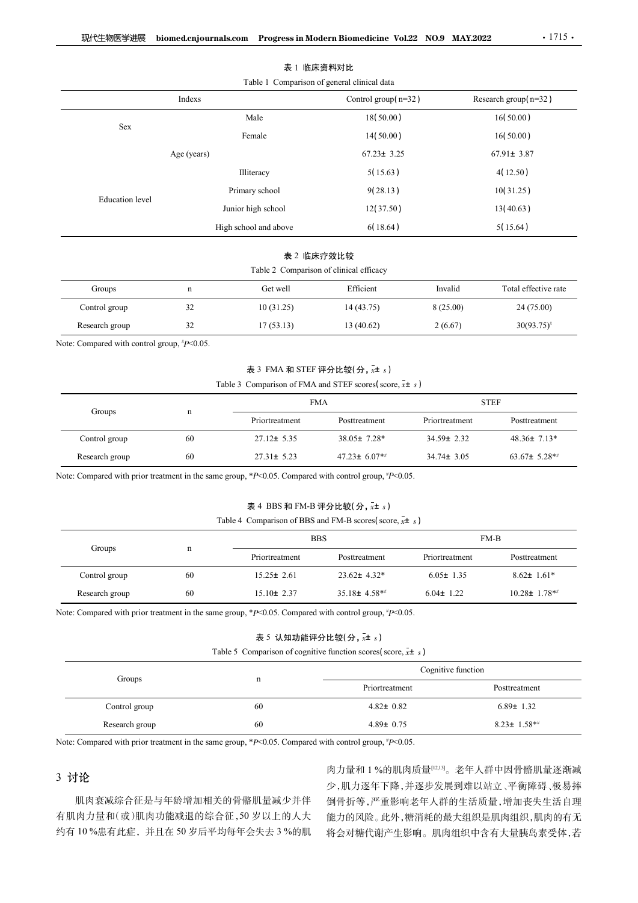| 现代生物医学进展                                    |                    |                       |                                                                           |                  |                                 |  |
|---------------------------------------------|--------------------|-----------------------|---------------------------------------------------------------------------|------------------|---------------------------------|--|
|                                             |                    |                       |                                                                           |                  |                                 |  |
|                                             |                    |                       |                                                                           |                  |                                 |  |
|                                             |                    |                       |                                                                           |                  |                                 |  |
|                                             |                    |                       |                                                                           |                  |                                 |  |
|                                             |                    |                       |                                                                           |                  |                                 |  |
|                                             |                    |                       |                                                                           |                  |                                 |  |
|                                             |                    |                       |                                                                           |                  |                                 |  |
|                                             |                    |                       | biomed.cnjournals.com Progress in Modern Biomedicine Vol.22 NO.9 MAY.2022 |                  | $\cdot$ 1715 $\cdot$            |  |
|                                             |                    |                       |                                                                           |                  |                                 |  |
|                                             |                    |                       | 表 1 临床资料对比                                                                |                  |                                 |  |
|                                             | Indexs             |                       | Table 1 Comparison of general clinical data<br>Control group(n=32)        |                  | Research group(n=32)            |  |
|                                             |                    |                       | 18(50.00)                                                                 |                  | 16(50.00)                       |  |
| Sex                                         | Male<br>Female     |                       | 14(50.00)                                                                 | 16(50.00)        |                                 |  |
|                                             | Age (years)        |                       | $67.23 \pm 3.25$                                                          |                  | $67.91 \pm 3.87$                |  |
|                                             |                    | Illiteracy            | 5(15.63)                                                                  |                  | 4(12.50)                        |  |
|                                             |                    | Primary school        | 9(28.13)                                                                  | 10(31.25)        |                                 |  |
| Education level                             | Junior high school |                       | 12(37.50)                                                                 |                  | 13(40.63)                       |  |
|                                             |                    | High school and above | 6(18.64)                                                                  |                  | 5(15.64)                        |  |
|                                             |                    |                       |                                                                           |                  |                                 |  |
|                                             |                    |                       | 表 2 临床疗效比较<br>Table 2 Comparison of clinical efficacy                     |                  |                                 |  |
| Groups                                      | $\mathbf n$        | Get well              | Efficient                                                                 | Invalid          | Total effective rate            |  |
| Control group                               | 32                 | 10(31.25)             | 14 (43.75)                                                                | 8(25.00)         | 24 (75.00)                      |  |
| Research group                              | $32\,$             | 17(53.13)             | 13(40.62)                                                                 | 2(6.67)          | $30(93.75)^{*}$                 |  |
| Note: Compared with control group, #P<0.05. |                    |                       |                                                                           |                  |                                 |  |
|                                             |                    |                       | 表 3 FMA 和 STEF 评分比较(分, x+ s)                                              |                  |                                 |  |
|                                             |                    |                       | Table 3 Comparison of FMA and STEF scores (score, $\bar{x}$ ± s)          |                  |                                 |  |
|                                             |                    |                       | <b>FMA</b>                                                                |                  | ${\large\bf STEF}$              |  |
| Groups                                      | $\mathbf n$        | Priortreatment        | Posttreatment                                                             | Priortreatment   | $\operatorname{Post treatment}$ |  |
| Control group                               | $60\,$             | $27.12 \pm 5.35$      | 38.05± 7.28*                                                              | 34.59± 2.32      | 48.36± 7.13*                    |  |
|                                             | $60\,$             | $27.31 \pm 5.23$      | 47.23± $6.07**$                                                           | $34.74 \pm 3.05$ | 63.67± 5.28**                   |  |

#### 表 1 临床资料对比

# 表 2 临床疗效比较

|                |    |           | Table 2 Comparison of clinical efficacy |           |                      |
|----------------|----|-----------|-----------------------------------------|-----------|----------------------|
| Groups         | n  | Get well  | Efficient                               | Invalid   | Total effective rate |
| Control group  | 32 | 10(31.25) | 14 (43.75)                              | 8 (25.00) | 24 (75.00)           |
| Research group | 32 | 17(53.13) | 13 (40.62)                              | 2(6.67)   | $30(93.75)^{*}$      |

| <b>Education</b> level                                                                                      |             | Primary school                                                         | 9(28.13)        |                  | 10(31.25)            |
|-------------------------------------------------------------------------------------------------------------|-------------|------------------------------------------------------------------------|-----------------|------------------|----------------------|
|                                                                                                             |             | Junior high school                                                     | 12(37.50)       |                  | 13(40.63)            |
|                                                                                                             |             | High school and above                                                  | 6(18.64)        |                  | 5(15.64)             |
|                                                                                                             |             | 表 2 临床疗效比较                                                             |                 |                  |                      |
|                                                                                                             |             | Table 2 Comparison of clinical efficacy                                |                 |                  |                      |
| Groups                                                                                                      | $\mathbf n$ | Get well                                                               | Efficient       | Invalid          | Total effective rate |
| Control group                                                                                               | 32          | 10(31.25)                                                              | 14(43.75)       | 8(25.00)         | 24 (75.00)           |
| Research group                                                                                              | 32          | 17(53.13)                                                              | 13(40.62)       | 2(6.67)          | $30(93.75)^{*}$      |
| Note: Compared with control group, $^{t}P<0.05$ .                                                           |             |                                                                        |                 |                  |                      |
|                                                                                                             |             | 表 3 FMA 和 STEF 评分比较(分, x+ s)                                           |                 |                  |                      |
|                                                                                                             |             | Table 3 Comparison of FMA and STEF scores (score, $\bar{x}$ ± s)       |                 |                  |                      |
| Groups                                                                                                      | $\mathbf n$ | <b>FMA</b>                                                             |                 |                  | <b>STEF</b>          |
|                                                                                                             |             | Priortreatment                                                         | Posttreatment   | Priortreatment   | Posttreatment        |
| Control group                                                                                               | 60          | $27.12 \pm 5.35$                                                       | 38.05± 7.28*    | 34.59± 2.32      | $48.36 \pm 7.13*$    |
| Research group                                                                                              | 60          | $27.31 \pm 5.23$                                                       | 47.23± $6.07**$ | $34.74 \pm 3.05$ | 63.67± 5.28**        |
| Note: Compared with prior treatment in the same group, $*P<0.05$ . Compared with control group, $*P<0.05$ . |             |                                                                        |                 |                  |                      |
|                                                                                                             |             | 表 4 BBS 和 FM-B 评分比较(分, x+ s)                                           |                 |                  |                      |
|                                                                                                             |             | Table 4 Comparison of BBS and FM-B scores (score, $\overline{x}$ ± s)  |                 |                  |                      |
|                                                                                                             |             | <b>BBS</b>                                                             |                 |                  | $FM-B$               |
| Groups                                                                                                      | $\mathbf n$ | Priortreatment                                                         | Posttreatment   | Priortreatment   | Posttreatment        |
| Control group                                                                                               | $60\,$      | $15.25 \pm 2.61$                                                       | 23.62± 4.32*    | $6.05 \pm 1.35$  | $8.62 \pm 1.61*$     |
| Research group                                                                                              | $60\,$      | $15.10 \pm 2.37$                                                       | 35.18± 4.58**   | $6.04 \pm 1.22$  | $10.28 \pm 1.78**$   |
| Note: Compared with prior treatment in the same group, $*P<0.05$ . Compared with control group, $*P<0.05$ . |             |                                                                        |                 |                  |                      |
|                                                                                                             |             | 表 5 认知功能评分比较 $($ 分, $x$ ± s)                                           |                 |                  |                      |
|                                                                                                             |             | Table 5 Comparison of cognitive function scores (score, $\bar{x}$ ± s) |                 |                  |                      |

|                                                                                                                       |             | Table 2 Comparison of clinical efficacy                                |                            |                    |                                                             |  |  |
|-----------------------------------------------------------------------------------------------------------------------|-------------|------------------------------------------------------------------------|----------------------------|--------------------|-------------------------------------------------------------|--|--|
| Groups                                                                                                                | $\mathbf n$ | Get well                                                               | Efficient                  | Invalid            | Total effective rate                                        |  |  |
| Control group                                                                                                         | 32          | 10(31.25)                                                              | 14(43.75)                  | 8(25.00)           | 24 (75.00)                                                  |  |  |
| Research group                                                                                                        | $32\,$      | 17(53.13)                                                              | 13(40.62)                  | 2(6.67)            | $30(93.75)^{*}$                                             |  |  |
| Note: Compared with control group, #P<0.05.                                                                           |             |                                                                        |                            |                    |                                                             |  |  |
|                                                                                                                       |             | 表 3 FMA 和 STEF 评分比较(分, x+ s)                                           |                            |                    |                                                             |  |  |
|                                                                                                                       |             | Table 3 Comparison of FMA and STEF scores (score, $\bar{x}$ ± s)       |                            |                    |                                                             |  |  |
|                                                                                                                       |             |                                                                        | ${\tt STEF}$<br><b>FMA</b> |                    |                                                             |  |  |
| Groups                                                                                                                | $\mathbf n$ | Priortreatment                                                         | Posttreatment              | Priortreatment     | Posttreatment                                               |  |  |
| Control group                                                                                                         | 60          | $27.12 \pm 5.35$                                                       | 38.05± 7.28*               | 34.59± 2.32        | 48.36± 7.13*                                                |  |  |
| Research group                                                                                                        | 60          | $27.31 \pm 5.23$                                                       | $47.23 \pm 6.07**$         | $34.74 \pm 3.05$   | 63.67± 5.28**                                               |  |  |
| Note: Compared with prior treatment in the same group, $*P<0.05$ . Compared with control group, $*P<0.05$ .           |             |                                                                        |                            |                    |                                                             |  |  |
|                                                                                                                       |             | 表 4 BBS 和 FM-B 评分比较(分, x+ s)                                           |                            |                    |                                                             |  |  |
|                                                                                                                       |             | Table 4 Comparison of BBS and FM-B scores (score, $\bar{x}$ ± s)       |                            |                    |                                                             |  |  |
|                                                                                                                       |             | <b>BBS</b>                                                             |                            |                    | $FM-B$                                                      |  |  |
| Groups                                                                                                                | $\mathbf n$ | Priortreatment                                                         | Posttreatment              | Priortreatment     | Posttreatment                                               |  |  |
| Control group                                                                                                         | 60          | $15.25 \pm 2.61$                                                       | $23.62 \pm 4.32*$          | $6.05 \pm 1.35$    | $8.62 \pm 1.61*$                                            |  |  |
| Research group                                                                                                        | 60          | $15.10 \pm 2.37$                                                       | 35.18± 4.58**              | $6.04 \pm 1.22$    | $10.28 \pm 1.78**$                                          |  |  |
| Note: Compared with prior treatment in the same group, * $P<0.05$ . Compared with control group, $P<0.05$ .           |             |                                                                        |                            |                    |                                                             |  |  |
|                                                                                                                       |             | 表 5 认知功能评分比较(分,x± s)                                                   |                            |                    |                                                             |  |  |
|                                                                                                                       |             | Table 5 Comparison of cognitive function scores (score, $\bar{x}$ ± s) |                            |                    |                                                             |  |  |
|                                                                                                                       |             |                                                                        |                            | Cognitive function |                                                             |  |  |
| Groups                                                                                                                |             | $\mathbf n$                                                            | Priortreatment             |                    | Posttreatment                                               |  |  |
| Control group                                                                                                         |             | 60                                                                     | $4.82 \pm 0.82$            |                    | $6.89 \pm 1.32$                                             |  |  |
| Research group                                                                                                        |             | 60                                                                     | $4.89 \pm 0.75$            |                    | $8.23 \pm 1.58**$                                           |  |  |
| Note: Compared with prior treatment in the same group, * $P \le 0.05$ . Compared with control group, * $P \le 0.05$ . |             |                                                                        |                            |                    |                                                             |  |  |
|                                                                                                                       |             |                                                                        |                            |                    |                                                             |  |  |
| 3 讨论                                                                                                                  |             |                                                                        |                            |                    | 肉力量和1%的肌肉质量[12,13]。老年人群中因骨骼肌量逐渐减                            |  |  |
| 肌肉衰减综合征是与年龄增加相关的骨骼肌量减少并伴                                                                                              |             |                                                                        |                            |                    | 少,肌力逐年下降,并逐步发展到难以站立、平衡障碍、极易摔<br>倒骨折等,严重影响老年人群的生活质量,增加丧失生活自理 |  |  |
| 有肌肉力量和(或)肌肉功能减退的综合征,50岁以上的人大                                                                                          |             |                                                                        |                            |                    | 能力的风险。此外,糖消耗的最大组织是肌肉组织,肌肉的有无                                |  |  |
|                                                                                                                       |             | 约有 10 %患有此症,并且在 50 岁后平均每年会失去 3 %的肌                                     |                            |                    | 将会对糖代谢产生影响。肌肉组织中含有大量胰岛素受体,若                                 |  |  |

#### 表 5 认知功能评分比较 $($ 分, $x$ ± s)

|                                                                                                       |    | Priortreatment                                                         | Posttreatment      | Priortreatment  | Posttreatment                    |  |
|-------------------------------------------------------------------------------------------------------|----|------------------------------------------------------------------------|--------------------|-----------------|----------------------------------|--|
| Control group                                                                                         | 60 | $15.25 \pm 2.61$                                                       | 23.62± 4.32*       | $6.05 \pm 1.35$ | $8.62 \pm 1.61*$                 |  |
| Research group                                                                                        | 60 | $15.10 \pm 2.37$                                                       | 35.18± 4.58**      | $6.04 \pm 1.22$ | $10.28 \pm 1.78**$               |  |
| Note: Compared with prior treatment in the same group, *P<0.05. Compared with control group, *P<0.05. |    |                                                                        |                    |                 |                                  |  |
|                                                                                                       |    | 表 5 认知功能评分比较(分, x± s)                                                  |                    |                 |                                  |  |
|                                                                                                       |    | Table 5 Comparison of cognitive function scores (score, $\bar{x}$ ± s) |                    |                 |                                  |  |
| Groups                                                                                                |    | $\mathbf n$                                                            | Cognitive function |                 |                                  |  |
|                                                                                                       |    |                                                                        | Priortreatment     |                 | Posttreatment                    |  |
| Control group                                                                                         |    | 60                                                                     | $4.82 \pm 0.82$    |                 | $6.89 \pm 1.32$                  |  |
| Research group                                                                                        |    | 60                                                                     | $4.89 \pm 0.75$    |                 | $8.23 \pm 1.58**$                |  |
|                                                                                                       |    |                                                                        |                    |                 |                                  |  |
|                                                                                                       |    |                                                                        |                    |                 |                                  |  |
| Note: Compared with prior treatment in the same group, *P<0.05. Compared with control group, *P<0.05. |    |                                                                        |                    |                 | 肉力量和1%的肌肉质量[12,13]。老年人群中因骨骼肌量逐渐减 |  |
| 3 讨论                                                                                                  |    |                                                                        |                    |                 | 少,肌力逐年下降,并逐步发展到难以站立、平衡障碍、极易摔     |  |
|                                                                                                       |    | 肌肉衰减综合征是与年龄增加相关的骨骼肌量减少并伴                                               |                    |                 | 倒骨折等,严重影响老年人群的生活质量,增加丧失生活自理      |  |
| 有肌肉力量和(或)肌肉功能减退的综合征,50岁以上的人大                                                                          |    |                                                                        |                    |                 | 能力的风险。此外,糖消耗的最大组织是肌肉组织,肌肉的有无     |  |

# 3 讨论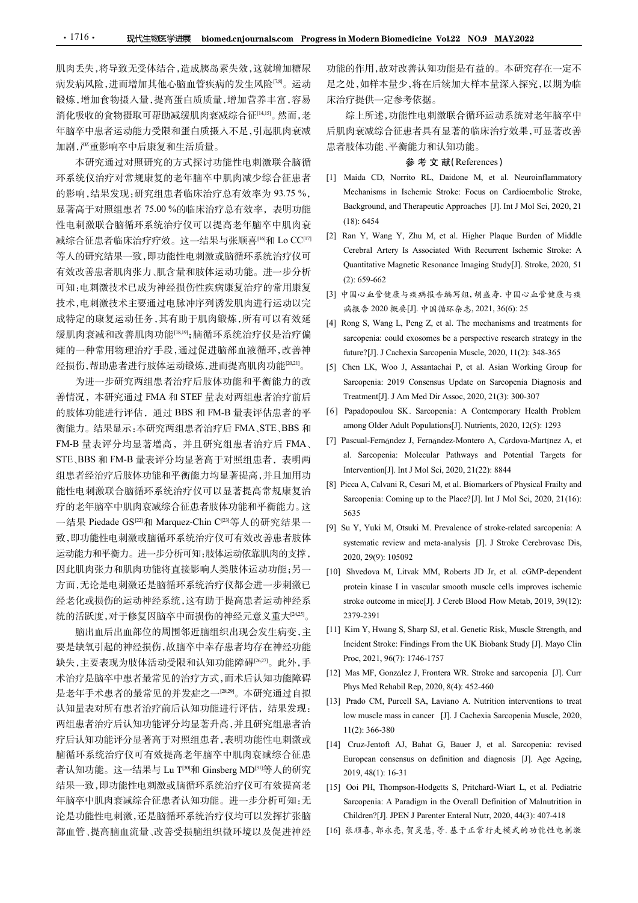肌肉丢失,将导致无受体结合,造成胰岛素失效,这就增加糖尿 病发病风险,进而增加其他心脑血管疾病的发生风险[78]。运动 锻炼,增加食物摄入量,提高蛋白质质量,增加营养丰富,容易 消化吸收的食物摄取可帮助减缓肌肉衰减综合征[14,15]。然而,老 年脑卒中患者运动能力受限和蛋白质摄入不足,引起肌肉衰减 加剧,严重影响卒中后康复和生活质量。

本研究通过对照研究的方式探讨功能性电刺激联合脑循 环系统仪治疗对常规康复的老年脑卒中肌肉减少综合征患者 [1] Maida CD, Norrito RL, Daidone M, et al. Neuroinflammatory • 1716 • **现代生物医学进展 biomed.cn/ournals.com Progress.in Modern Biomedicine Vol.22 NO.9 MAY.2022<br>肌肉丢失,将导致无受体结合,造成胰岛素失效,这就增加糖尿 功能的作用,故对改善认知功能是有益的。本研究存在一定不<br>解发病,培训情况,进而背景的病效生风险<sup>的。</sup>运动 是之处,如样本量少,将在后,综合,后续加入样本量深入探究,以期为临界,成功,进行机会,接** • 1716 • **现代生物医学进展 biomed.cnjournals.com Progress.in Modern Biomedicine Vol.22 NO.9 MAY2<br>肌肉丢失,将导致无受体结合,造成胰岛素失效,这就增加糖尿 功能的作用,故对改善认知功能是有益的。本<br>病发病风险,进而增加其他心脑血管疾病的发生风险™。运动 足之处,如样本量少,将在后续加大样本量深入<br>機体,增加食物摄水量,提高蛋白质质量,增加营养丰富,容易 床治** 性电刺激联合脑循环系统治疗仪可以提高老年脑卒中肌肉衰 (18):6454<br>减给合征患者收序治疗疗效、这一结果与弘顺直的和LoCC<sup>[17]</sub> [2] Ran Y, Wang Y, Zhu M, et al. Higher Plaque Burden of Middle</sup> • 1716• - 現代生物医学进展 Momed.cn/ournals.com Progressin Modern Biomedicine Vol22 NO9 MAY2022<br>肌肉丢失,将导致无受体结合,造成胰岛素失效,这就增加精厚 功能的作用,故对改善社知功能是有益的。本研究存在一定不<br>療法周风險,进而增加其他心脑血管疾病的发生风险空。运动 是之处,如样不是少,将在后续加大样本量深入探究,以期为临<br>缺冻增加食物摄取可能助域要限和蛋白质 有效改善患者肌肉张力、肌含量和肢体运动功能。进一步分析<br>(2): 659-662 可知:电刺激技术已成为神经损伤性疾病康复治疗的常用康复 技术,电刺激技术主要通过电脉冲序列诱发肌肉进行运动以完 成特定的康复运动任务,其有助于肌肉锻炼,所有可以有效延 [4] Rong S, Wang L, Peng Z, et al. The mechanisms and treatments for 瘫的一种常用物理治疗手段,通过促进脑部血液循环,改善神 http://j.j.Cachexia Sarcopenia Muscle. 2020. 11(2): 348-365 经损伤,帮助患者进行肢体运动锻炼,进而提高肌肉功能[20,21]。

善情况, 本研究通过 FMA 和 STEF 量表对两组患者治疗前后 Treatment[J]. J Am Med Dir Assoc, 2020, 21(3): 300-307 的肢体功能进行评估,通过 BBS 和 FM-B 量表评估患者的平 [6] Papadopoulou SK. Sarcopenia: A Contemporary Health Problem 衡能力。结果显示:本研究两组患者治疗后 FMA 、STE 、BBS 和 among Older Adult Populations[J]. Nutrients, 2020, 12(5): 1293<br>EM-R 景表诬分均見茅增亮 并且研究组串老治疗后 EMA [7] Pascual-Fernández J, Fernández-Montero A, Córdova-Martínez A, et STE、BBS 和 FM-B 量表评分均显著高于对照组患者, 表明两 and Sarcopenia: Molecular Pathways and Po<br>MET MANA COMPLE THAN AS THE MANA LIFE THE AND SULFETTEL METAL Intervention[J]. Int J Mol Sci, 2020, 21(22): 8844 组患者经治疗后肢体功能和平衡能力均显著提高,并且加用功<br>(i) light discussed by the case of Physical Frailty and 疗的老年脑卒中肌肉衰减综合征患者肢体功能和平衡能力。这 2000 (A) the method of the method in the method of the method in the method in the method in the method in the method in the method in the method in the method in the method in the method in the method in the method in the m 运动能力和平衡力。进一步分析可知:肢体运动依靠肌肉的支撑, 2020, 29(9): 105092 因此肌肉张力和肌肉功能将直接影响人类肢体运动功能;另一 [10] Shvedova M, Litvak MM, Roberts JD Jr, et al. cGMP-dependent 统的活跃度,对于修复因脑卒中而损伤的神经元意义重大<sup>[24,25]</sup>。 2379-2391

缺失,主要表现为肢体活动受限和认知功能障碍<sup>[26,27]</sup>。此外,手 Proc, 2021, 96(7): 1746-1757<br>卡治疗具成充中患者是常见的治疗力力, 两犬巨认如功能咳硬 [12] Mas MF, González J, Frontera WR. Stroke and sarcopenia [J]. Curr 术治疗是脑卒中患者最常见的治疗方式,而术后认知功能障碍 [12] Mas Mr, Gonzquez J, Frontera WK. Stroke 是老年手术患者的最常见的并发症之一<sup>[28,29]</sup>。本研究通过自拟 [11] Thys wild influent incp, 2020, 6(-). 452-460<br>1131 Prado CM, Purcell SA, Laviano A. Nutrition interventions to treat 两组患者治疗后认知功能评分均显著升高,并且研究组患者治 疗后认知功能评分显著高于对照组患者,表明功能性电刺激或 [14] Cruz-Jentoft AJ, Bahat G, Bauer J, et al. Sarcopenia: revised ECLIFT MARK TER GENE TRANSFRACTIVE UNITRELLY FOR TRANSFRACT AS Succeptualit Coming up to the Place"[J]. I and Sci. 2020, 21(16):<br>
<br>
<br>
<br>
fried the Figure Society II Marquez Chin C<sup>out S</sup>, African Axel MD<br>
<br>
<br> **Society** 结果一致,即功能性电刺激或脑循环系统治疗仪可有效提高老 [15] Ooi PH, Thompson-Hodgetts S, Pritchard-Wiart L, et al. Pediatric 论是功能性电刺激,还是脑循环系统治疗仪均可以发挥扩张脑 Children?[J]. JPEN J Parenter Enteral Nutr, 2020, 44(3): 407-418 部血管、提高脑血流量、改善受损脑组织微环境以及促进神经

功能的作用,故对改善认知功能是有益的。本研究存在一定不 足之处,如样本量少,将在后续加大样本量深入探究,以期为临 床治疗提供一定参考依据。

综上所述,功能性电刺激联合循环运动系统对老年脑卒中 后肌肉衰减综合征患者具有显著的临床治疗效果,可显著改善 患者肢体功能、平衡能力和认知功能。

#### 参 考 文 献(References)

- **Exam Modern Biomedicine Vol22 NO.9 MAY.2022**<br>功能的作用,故对改善认知功能是有益的。本研究存在一定不<br>足之处,如样本量少,将在后续加大样本量深入探究,以期为临<br>床治疗提供一定参考依据。<br>综上所述,功能性电刺激联合循环运动系统对老年脑卒中<br>后肌肉衰减综合征患者具有显著的临床治疗效果,可显著改善<br>患者肢体功能、平衡能力和认知功能。<br>**参考文献(References)**<br>(I) Maida CD, Mechanisms in Ischemic Stroke: Focus on Cardioembolic Stroke, 1 Modern Biomedicine Vol.22 NO.9 MAY.2022<br>
2014年,放对改善认知功能是有益的。本研究存在一定不<br>
处,如样本量少,将在后续加大样本量深入探究,以期为临<br>
疗提供一定参考依据。<br>
综上所述,功能性电刺激联合循环运动系统对老年脑卒中<br>
[肉衰减综合征患者具有显著的临床治疗效果,可显著改善<br>
肢体功能、平衡能力和认知功能。<br>
---------------------------------(18): 6454 **ss in Modern Biomedicine Vol22 NO.9 MAY2022**<br>功能的作用,故对改善认知功能是有益的。本研究存在一定不<br>足之处,如样本量少,将在后续加大样本量深入探究,以期为临<br>床治疗提供一定参考依据。<br> $综上所述,功能性电刺激联合循环运动系统对老年脑卒中  
周内衰减综合征患者具有显著的临床治疗效果,可显著改善  
患者肢体功能、平衡能力和认知功能。  

$$
\bullet \bullet \bullet \bullet \bullet \bullet \bullet \bullet \bullet \bullet \bullet \bullet \bullet \bullet \bullet
$$$ 1 Modern Biomedicine Vol.22 NO.9 MAY.2022<br>
Ei的作用,故对改善认知功能是有益的。本研究存在一定不<br>
处,如样本量少,将在后续加大样本量深入探究,以期为临<br>
疗提供一定参考依据。<br>
综上所述,功能性电刺激联合循环运动系统对老年脑卒中<br>
|肉衰减综合征患者具有显著的临床治疗效果,可显著改善<br>
|皮液成合征患者具有显著的临床治疗效果,可显著改善<br>
|<br>
Naida CD, Norrio RL, Da 1 Modern Biomedicine Vol.22 NO.9 MAY.2022<br>  $\pm 60^4$  H, 故对改善认知功能是有益的。本研究存在一定不<br>  $\Delta$ : 如样本量少、将在后续加大样本量深入探究, 以期为临<br>
疗法是所述, 功能性电刺激联合循环运动系统对老年脑卒中<br>
[肉套减综合征患者具有显著的临床治疗效果, 可显著改善<br>
|技体功能、平衡能力和认知功能。<br>
|参考 文 献( References )<br>
Maida CD, (2): 659-662 n Modern Biomedicine Vol.22 NO.9 MAY.2022<br>:的作用,故对改善认知功能是有益的。本研究存在一定不<br>处,如样本量少,将在后续加大样本量深入探究,以期为临<br>疗提供—定,场在后续加大样本量深入探究,以期为临<br>:分所注程、全多考依据。<br> - 最近所述,制制、数据、合格环运动系统对老年脑卒中<br><br> - 最近所述,可能性电刺激联合循环运动系统对老年脑卒中<br><br> - 内容数综合征患者具有显著的临床治疗效果,可显著改 功能的作用,故对改善认知功能是有益的。本研究存在一定不<br>足之处,如样本量少,将在后续加大样本量深人探究,以期为临<br>床治疗提供一定参考依据。<br>統計基準、最高系統、相反、相反、相反、<br>(第)、現在、可能性电刺激联合循环运动系统对老年脑卒中<br>(第)提供一定参考依据。<br>(第)、可能性电刺激联合循环运动系统对老年脑卒中<br>(日用肉衰减综合征患者具有以知功能。<br>(4) The mechanisms in Ischemic Stroke: Focus fi的作用,故对改善认知功能是有益的。本研究存在一定不<br>处,如样本量少,将在后续加大样本量深入探究,以期为临<br>疗提供一定参考依据。<br>综上所述、有限以下,以外的不同,可以为的<br>(内容减综合征患者具有显著的临床治疗效果,可显著改善<br>(肉容减综合征患者具有显著的临床治疗效果,可显著改善<br>(肉容减综合征患者具有显著的临床治疗效果,可显著改善<br>(肢体功能、平衡と力和认知功能。<br>Mechanisms in Ischemic Stroke: Focu (处,如样本量少,将在后续加大样本量深入探究,以期为临<br>疗提供一定参考依据。<br>综上所述,功能性电刺激联合循环运动系统对老年脑卒中<br>[肉衰减综合征患者具有显著的临床治疗效果,可显著改善<br>[肉衰减综合征患者具有显著的临床治疗效果,可显著改善<br>[肢体功能、平衡能力和认知功能。<br>**参考文献**[References]<br>Maida CD, Nortio RL, Daidore M, et al. Neuroinflammatory<br>Mechanis [5] Chen LK, Woo J, Assantachai P, et al. Asian Working Group for Sarcopenia: 2019 Consensus Update on Sarcopenia Diagnosis and 5. The Med Direct Devines and Medicines and Direct Devines and Direct Direct Direct Direct Direct Direct Direct Direct Direct Direct Direct Direct Direct Direct Direct Direct Direct Direct Direct Direct Direct Direct Dir HTRUP/4 & 68. SF an L. External A Contemporary Health Prophenomenology<br>
患者肢体功能、平衡能力和以知功能。<br> **参考文献(References)**<br>
[1] Maida CD, Norrio RL, Daidone M, et al. Neuroinflammatory<br>
Mechanisms in Ischemic Stroke: Focus on Cardioe BRT#91E6. + #91 E A His Adult Populations (5): <br>
Maida CD, Norrio RL, Daidner M, et al. Neuroinflammatory<br>
Mechanisms in Ischemic Stroke: Focus on Cardioembolic Stroke,<br>
Background, and Therapeutic Approaches [J]. Int J **For Example 19** To Marthum and The Taule and Montero Mechanisms in Ischemic Stroke: Focus on Cardioembolic Stroke,<br>Background, and Therapeutic Approaches [J]. Int J Mol Sci, 2020, 21<br>(18): 6454<br>(21 Ran Y, Wang Y, Zhu M,
- 等人的研究结果一致,即功能性电刺激或脑循环系统治疗仪可 Cerebral Artery Is Associated With Recurrent Ischemic Stroke: A Marda CD, Norrito RL, Dardone M, et al. Neuronhlammatory<br>Mechanisms in Ischemic Stroke: Focus on Cardioembolic Stroke,<br>Mechanisms in Ischemic Stroke: Focus on Cardioembolic Stroke,<br>18. Sarcopenia, and Therapeutic Approach Mechanisms in Ischemic Stroke: Pocus on Cardioembolic Stroke,<br>Background, and Therapeutic Approaches [J]. Int J Mol Sci, 2020, 21<br>(18): 6454<br>Ran Y, Wang Y, Zhu M, et al. Higher Plaque Burden of Middle<br>Cerebral Artery Is A Hackground, and Therapeutic Approaches [J]. Int J Mol Sci, 2020, 21<br>
(18): 6454<br>
(2018): An Y, Wang Y, Zhu M, et al. Higher Plaque Burden of Middle<br>
Cercbral Artery Is Associated With Recurrent Ischemic Stroke: A<br>
Quantit (18): 6434<br>
Carr Y, Wang Y, Zhu M, et al. Higher Plaque Burden of Middle<br>
Ecrebral Artery Is Associated With Recurrent Ischemic Stroke: A<br>
Quantitative Magnetic Resonance Imaging Study[J]. Stroke, 2020, 51<br>
(2): 659-662<br>
	- [3] 中国心血管健康与疾病报告编写组, 胡盛寿. 中国心血管健康与疾
- 缓肌肉衰减和改善肌肉功能[18,19];脑循环系统治疗仪是治疗偏 sarcopenia: could exosomes be a perspective research strategy in the
- [5] Chen LK, Woo J, Assantachai P, et al. Asian Working Group for 为进一步研究两组患者治疗后肢体功能和平衡能力的改 Sarcopenia: 2019 Consensus Update on Sarcopenia Diagnosis and Cerebral Artery Is Associated With Recurrent Ischemic Stroke: A<br>Quantitative Magnetic Resonance Imaging Study[J]. Stroke, 2020, 51<br>(2):  $(359-662$ <br>(3)  $\neq \mathbb{R}/3$   $\leq \frac{1}{2}$   $\frac{1}{2}$   $\frac{1}{2}$   $\frac{1}{2}$   $\frac{1}{2}$   $\frac{$ 
	-
- FM-B 量表评分均显著增高, 并且研究组患者治疗后 FMA、 [7] Pascual-Fernández J, Fernández-Montero A, Córdova-Martínez A, et<br>STE PDS 和 PLA <sup>同</sup>志评公均且英京五社照知忠龙、志思严、 al. Sarcopenia: Molecular Pathways and Potential Targets for
- 能性电刺激联合脑循环系统治疗仪可以显著提高常规康复治<br>
Sarcopenia: Coming up to the Place?[J]. Int J Mol Sci, 2020, 21(16): 5635
- 致,即功能性电刺激或脑循环系统治疗仪可有效改善患者肢体 systematic review and meta-analysis [J]. J Stroke Cerebrovasc Dis,
- 方面,无论是电刺激还是脑循环系统治疗仪都会进一步刺激已 protein kinase I in vascular smooth muscle cells improves ischemic 经老化或损伤的运动神经系统,这有助于提高患者运动神经系 Quantitative Magnetic Resonance Imaging Study[J]. Stroke, 2020, 51<br>
(2): 659-662<br>  $\#\mathbb{R} \Rightarrow \#\mathbb{R} \neq \#\mathbb{R}$   $\#\mathbb{R} \Rightarrow \#\mathbb{R} \Rightarrow \#\mathbb{R} \Rightarrow \#\mathbb{R} \Rightarrow \mathbb{R} \Rightarrow \mathbb{R} \Rightarrow \mathbb{R} \Rightarrow \mathbb{R} \Rightarrow \mathbb{R} \Rightarrow \mathbb{R} \Rightarrow \mathbb{R} \Rightarrow \mathbb{R} \Rightarrow \mathbb{R} \Rightarrow \$ (2): 659-662<br>  $(2)$ : 659-662<br>  $\#R$   $\#B$   $\#R$   $\#R$   $\#R$   $\#R$   $\#R$   $\#R$   $\#R$   $\#R$   $\#R$   $\#R$   $\#R$   $\#R$   $\#R$   $\#R$   $\#R$   $\#R$   $\#R$   $\#R$   $\#R$   $\#R$   $\#R$   $\#R$   $\#R$   $\#R$   $\#R$   $\#R$   $\#R$   $\#R$   $\#R$   $\#R$ [3]  $\mathbb{H}^2 |\Delta \cdot \Delta x \otimes \mathbb{R}^2 \otimes \mathbb{R}^2 \Rightarrow \mathbb{R}^2 \otimes \mathbb{R}^2 \Rightarrow \mathbb{R}^2 \otimes \mathbb{R}^2 \Rightarrow \mathbb{R}^2 \otimes \mathbb{R}^2 \Rightarrow \mathbb{R}^2 \otimes \mathbb{R}^2 \Rightarrow \mathbb{R}^2 \otimes \mathbb{R}^2 \Rightarrow \mathbb{R}^2 \otimes \mathbb{R}^2 \Rightarrow \mathbb{R}^2 \otimes \mathbb{R}^2 \Rightarrow \mathbb{R}^2 \otimes \mathbb{R}^2 \Rightarrow \mathbb{R}^2 \$ 354摄 → 2020 概実[J]. 中国横部 奈 ±5, 2021, 36(6): 25<br>
Stong S, Wang L, Peng Z, ct al. The mechanisms and treatments for<br>
sarcopenia: could exosomes be a perspective research strategy in the<br>
future?[J]. J Cachexia Sarcopenia M Rong S, Wang L, Peng Z, et al. The mechanisms and treatments for<br>earch strategy in interferent strategy in the<br>fiture?[J]. J Cachexia Sarcopenia Muscle, 2020, 11(2): 348-365<br>Chen LK, Woo J, Assantachai P, et al. Asian Wor 2379-2391 future?[J], J Cachexia Sarcopenia Muscle, 2020, 11(2): 348-365<br>
[5] Chen LK, Woo J, Assantachii P, et al. Asian Working Group for<br>
Sarcopenia: 2019 Consensus Update on Sarcopenia Diagnosis and<br>
Treatment[J]. J Am Med Dir Chen LK, Woo J, Assantachai P, et al. Asian Working Group for<br>Sarcopenia: 2019 Consensus Update on Sarcopenia Diagnosis and<br>Treatment[J]. J Am Med Dir Assoc, 2020, 21(3): 300-307<br>Papadopoulou SK. Sarcopenia: A Contemporary Sarcopenia: 2019 Consensus Update on Sarcopenia Diagnosis and<br>Treatment[J]. J Am Med Dir Assoc, 2020, 21(3): 300-307<br>
Prapadopoulou SK. Sarcopenia: A Contemporary Health Problem<br>
Pamong Older Adult Populations[J]. Nutrient Treatment[J]. J Am Med Dir Assoc, 2020, 21(3): 300-307<br>
[6] Papadopoulou SK. Sarcopenia: A Contemporary Health Problem<br>
2020, 12(5): 1293<br>
21 massed Dider Adult Populations[J]. Nutrients, 2020, 12(5): 1293<br>
21 massed J. Fe Papadopoulou SK. Sarcopenia: A Contemporary Health Problem<br>among Older Adult Populations[J]. Nutrients, 2020, 12(5): 1293<br>Pascal-Fermández J, Fermández-Montero A, Cardova-Martinez A, et<br>al. Sarcopenia: Molecular Pathways a mong Older Adult Populations[J]. Nutrients, 2020, 12(5): 1293<br>
[7] Passual-Fermandez J, Fermandez-Montero A, Cardova-Martinez A, et<br>
al. Sarcopenia: Molecular Pathways and Potential Targets for<br>
Intervention[J]. Int J Mol Pascual-Fernández J, Fernández-Montero A, Cárdova-Martínez A, et<br>al. Sarcopenia: Molecular Pathways and Potential Targets for<br>Intervention[J]. In J Mol Sei, 2020, 21(22): 8844<br>Dicea A, Calvani R, Cesari M, et al. Biomarker al. Sarcopenia: Molecular Pathways and Potential Targets for<br>Intervention[J]. Int J Mol Sci, 2020, 21(22): 8844<br>Aicca A, Calvani R, Cesari M, et al. Biomarkers of Physical Frailty and<br>Sarcopenia: Coming up to the Place?[J] Intervention[J]. Int J Mol Sci, 2020, 21(22): 8844<br>
[8] Picea A, Calvani R, Cesari M, et al. Biomarkers of Physical Frailty and<br>
Sarcopenia: Coming up to the Place?[J]. Int J Mol Sci, 2020, 21(16):<br>
[9] Su Y, Yuki M, Otsuk icea A, Calvani R, Cesari M, et al. Biomarkers of Physical Frailty and<br>Sarcopenia: Coming up to the Place?[J]. Int J Mol Sci, 2020, 21(16):<br>6635<br>5020, 21(16):<br>5027, Y, Wiki M, Otsuki M. Prevalence of stroke-related sarcop Sarcopenia: Coming up to the Place?[J]. Int J Mol Sci, 2020, 21(16):<br>
56335<br>
Ni V, Yuki M, Otsuki M. Prevalence of stroke-related sarcopenia: A<br>
si V, Yuki M, Otsuki M. Prevalence of stroke-related sarcopenia: A<br>
systemat 5635<br>
[9] Su Y, Yuki M, Otsuki M. Prevalence of stroke-related sarcopenia: A<br>
systematic review and meta-analysis [J]. J Stroke Cerebrovasc Dis,<br>
2020, 29(9): 105092<br>
[10] Shvcdova M, Litvak MM, Roberts JD Jr, et al. cGMP Su Y, Yuki M, Otsuki M. Prevalence of stroke-related sarcopenia: A<br>systematic review and meta-analysis [J]. J Stroke Cerebrovase Dis,<br>2020, 29(9): 105092<br>Shvedova M, Litvak MM, Roberts JD Jr, et al. cGMP-dependent<br>protein systematic review and meta-analysis [J]. J Stroke Cerebrovase Dis,<br>2020, 29(9): 105092<br>Shvedova M, Litvak MM, Roberts JD Jr, et al. cGMP-dependent<br>protein kinase I in vascular smooth muscle cells improves ischemic<br>stroke
- 脑出血后出血部位的周围邻近脑组织出现会发生病变,主 [11] Kim Y, Hwang S, Sharp SJ, et al. Genetic Risk, Muscle Strength, and 要是缺氧引起的神经损伤,故脑卒中幸存患者均存在神经功能 Micident Stroke: Findings From the UK Biobank Study [J]. Mayo Clin
	-
- 认知量表对所有患者治疗前后认知功能进行评估,结果发现: [15] Trado CM, Tutter SA, Laviano A. Nutrition incrvements to treat
- 脑循环系统治疗仪可有效提高老年脑卒中肌肉衰减综合征患 [1] European consensus on definition and diagnosis [J]. Age Ageing,
- 年脑卒中肌肉衰减综合征患者认知功能。进一步分析可知:无
	- [16] 张顺喜, 郭永亮, 贺灵慧, 等. 基于正常行走模式的功能性电刺激